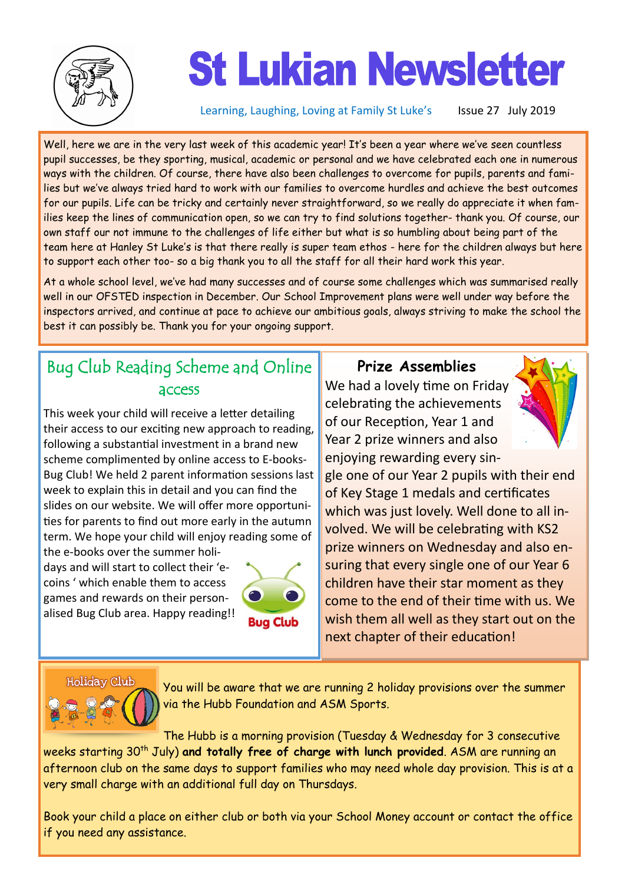

# **St Lukian Newsletter**

Learning, Laughing, Loving at Family St Luke's Issue 27 July 2019

Well, here we are in the very last week of this academic year! It's been a year where we've seen countless pupil successes, be they sporting, musical, academic or personal and we have celebrated each one in numerous ways with the children. Of course, there have also been challenges to overcome for pupils, parents and families but we've always tried hard to work with our families to overcome hurdles and achieve the best outcomes for our pupils. Life can be tricky and certainly never straightforward, so we really do appreciate it when families keep the lines of communication open, so we can try to find solutions together- thank you. Of course, our own staff our not immune to the challenges of life either but what is so humbling about being part of the team here at Hanley St Luke's is that there really is super team ethos - here for the children always but here to support each other too- so a big thank you to all the staff for all their hard work this year.

At a whole school level, we've had many successes and of course some challenges which was summarised really well in our OFSTED inspection in December. Our School Improvement plans were well under way before the inspectors arrived, and continue at pace to achieve our ambitious goals, always striving to make the school the best it can possibly be. Thank you for your ongoing support.

## Bug Club Reading Scheme and Online access

This week your child will receive a letter detailing their access to our exciting new approach to reading, following a substantial investment in a brand new scheme complimented by online access to E-books-Bug Club! We held 2 parent information sessions last week to explain this in detail and you can find the slides on our website. We will offer more opportunities for parents to find out more early in the autumn term. We hope your child will enjoy reading some of the e-books over the summer holi-

days and will start to collect their 'ecoins ' which enable them to access games and rewards on their personalised Bug Club area. Happy reading!!



**Prize Assemblies**

We had a lovely time on Friday celebrating the achievements of our Reception, Year 1 and Year 2 prize winners and also enjoying rewarding every sin-



gle one of our Year 2 pupils with their end of Key Stage 1 medals and certificates which was just lovely. Well done to all involved. We will be celebrating with KS2 prize winners on Wednesday and also ensuring that every single one of our Year 6 children have their star moment as they come to the end of their time with us. We wish them all well as they start out on the next chapter of their education!

#### **Holiday Club**



You will be aware that we are running 2 holiday provisions over the summer via the Hubb Foundation and ASM Sports.

The Hubb is a morning provision (Tuesday & Wednesday for 3 consecutive weeks starting 30<sup>th</sup> July) and totally free of charge with lunch provided. ASM are running an afternoon club on the same days to support families who may need whole day provision. This is at a very small charge with an additional full day on Thursdays.

Book your child a place on either club or both via your School Money account or contact the office if you need any assistance.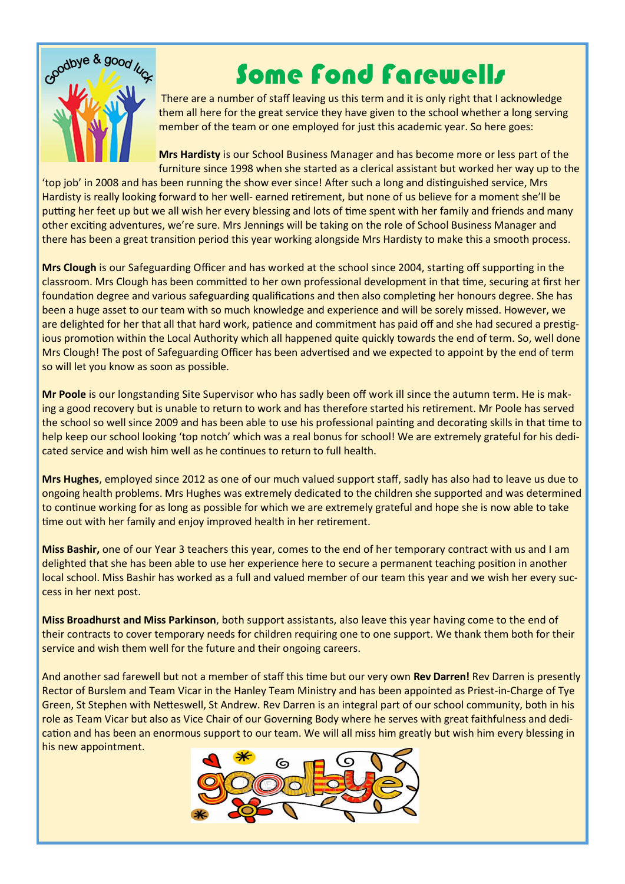

## Some Fond Farewells

There are a number of staff leaving us this term and it is only right that I acknowledge them all here for the great service they have given to the school whether a long serving member of the team or one employed for just this academic year. So here goes:

**Mrs Hardisty** is our School Business Manager and has become more or less part of the furniture since 1998 when she started as a clerical assistant but worked her way up to the

'top job' in 2008 and has been running the show ever since! After such a long and distinguished service, Mrs Hardisty is really looking forward to her well- earned retirement, but none of us believe for a moment she'll be putting her feet up but we all wish her every blessing and lots of time spent with her family and friends and many other exciting adventures, we're sure. Mrs Jennings will be taking on the role of School Business Manager and there has been a great transition period this year working alongside Mrs Hardisty to make this a smooth process.

**Mrs Clough** is our Safeguarding Officer and has worked at the school since 2004, starting off supporting in the classroom. Mrs Clough has been committed to her own professional development in that time, securing at first her foundation degree and various safeguarding qualifications and then also completing her honours degree. She has been a huge asset to our team with so much knowledge and experience and will be sorely missed. However, we are delighted for her that all that hard work, patience and commitment has paid off and she had secured a prestigious promotion within the Local Authority which all happened quite quickly towards the end of term. So, well done Mrs Clough! The post of Safeguarding Officer has been advertised and we expected to appoint by the end of term so will let you know as soon as possible.

**Mr Poole** is our longstanding Site Supervisor who has sadly been off work ill since the autumn term. He is making a good recovery but is unable to return to work and has therefore started his retirement. Mr Poole has served the school so well since 2009 and has been able to use his professional painting and decorating skills in that time to help keep our school looking 'top notch' which was a real bonus for school! We are extremely grateful for his dedicated service and wish him well as he continues to return to full health.

**Mrs Hughes**, employed since 2012 as one of our much valued support staff, sadly has also had to leave us due to ongoing health problems. Mrs Hughes was extremely dedicated to the children she supported and was determined to continue working for as long as possible for which we are extremely grateful and hope she is now able to take time out with her family and enjoy improved health in her retirement.

**Miss Bashir,** one of our Year 3 teachers this year, comes to the end of her temporary contract with us and I am delighted that she has been able to use her experience here to secure a permanent teaching position in another local school. Miss Bashir has worked as a full and valued member of our team this year and we wish her every success in her next post.

**Miss Broadhurst and Miss Parkinson**, both support assistants, also leave this year having come to the end of their contracts to cover temporary needs for children requiring one to one support. We thank them both for their service and wish them well for the future and their ongoing careers.

And another sad farewell but not a member of staff this time but our very own **Rev Darren!** Rev Darren is presently Rector of Burslem and Team Vicar in the Hanley Team Ministry and has been appointed as Priest-in-Charge of Tye Green, St Stephen with Netteswell, St Andrew. Rev Darren is an integral part of our school community, both in his role as Team Vicar but also as Vice Chair of our Governing Body where he serves with great faithfulness and dedication and has been an enormous support to our team. We will all miss him greatly but wish him every blessing in his new appointment.

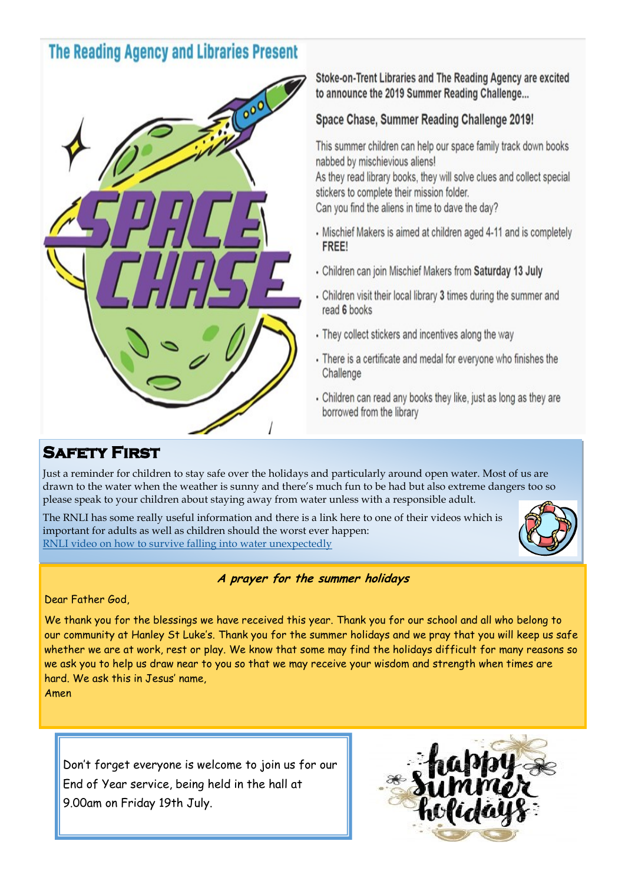## **The Reading Agency and Libraries Present**



Stoke-on-Trent Libraries and The Reading Agency are excited to announce the 2019 Summer Reading Challenge...

### Space Chase, Summer Reading Challenge 2019!

This summer children can help our space family track down books nabbed by mischievious aliens! As they read library books, they will solve clues and collect special stickers to complete their mission folder.

Can you find the aliens in time to dave the day?

- Mischief Makers is aimed at children aged 4-11 and is completely FREE!
- . Children can join Mischief Makers from Saturday 13 July
- Children visit their local library 3 times during the summer and read 6 books
- They collect stickers and incentives along the way
- There is a certificate and medal for everyone who finishes the Challenge
- Children can read any books they like, just as long as they are borrowed from the library

## **SAFETY FIRST**

Just a reminder for children to stay safe over the holidays and particularly around open water. Most of us are drawn to the water when the weather is sunny and there's much fun to be had but also extreme dangers too so please speak to your children about staying away from water unless with a responsible adult.

The RNLI has some really useful information and there is a link here to one of their videos which is important for adults as well as children should the worst ever happen: [RNLI video on how to survive falling into water unexpectedly](https://www.respectthewater.com/?utm_source=google&utm_medium=ppc&utm_campaign=rtw_2019&utm_content=AC2_UK_7b&gclid=EAIaIQobChMI3-eZ3rql4wIVw_hRCh2w_g2NEAAYASAAEgLlqPD_BwE&gclsrc=aw.ds&utm_expid=.EG8HA3AEQL-xMd12o4ZbUw.0&utm_referrer=https%3A%2F%2Fwww.google.) 



#### **A prayer for the summer holidays**

Dear Father God,

We thank you for the blessings we have received this year. Thank you for our school and all who belong to our community at Hanley St Luke's. Thank you for the summer holidays and we pray that you will keep us safe whether we are at work, rest or play. We know that some may find the holidays difficult for many reasons so we ask you to help us draw near to you so that we may receive your wisdom and strength when times are hard. We ask this in Jesus' name,

Amen

Don't forget everyone is welcome to join us for our End of Year service, being held in the hall at 9.00am on Friday 19th July.